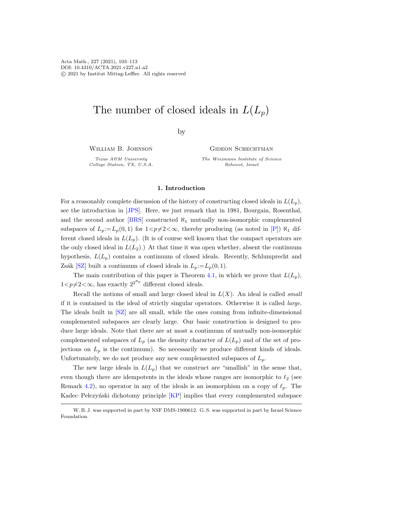# The number of closed ideals in  $L(L_n)$

by

William B. Johnson

Texas A&M University College Station, TX, U.S.A. GIDEON SCHECHTMAN

The Weizmann Institute of Science Rehovot, Israel

## 1. Introduction

For a reasonably complete discussion of the history of constructing closed ideals in  $L(L_p)$ , see the introduction in [\[JPS\]](#page-10-0). Here, we just remark that in 1981, Bourgain, Rosenthal, and the second author [\[BRS\]](#page-10-1) constructed  $\aleph_1$  mutually non-isomorphic complemented subspaces of  $L_p := L_p(0, 1)$  for  $1 < p \neq 2 < \infty$ , thereby producing (as noted in [\[P\]](#page-10-2))  $\aleph_1$  different closed ideals in  $L(L_p)$ . (It is of course well known that the compact operators are the only closed ideal in  $L(L_2)$ .) At that time it was open whether, absent the continuum hypothesis,  $L(L_p)$  contains a continuum of closed ideals. Recently, Schlumprecht and Zsák [\[SZ\]](#page-10-3) built a continuum of closed ideals in  $L_p := L_p(0, 1)$ .

The main contribution of this paper is Theorem [4.1,](#page-8-0) in which we prove that  $L(L_p)$ ,  $1 < p \neq 2 < \infty$ , has exactly  $2^{2^{\aleph_0}}$  different closed ideals.

Recall the notions of small and large closed ideal in  $L(X)$ . An ideal is called *small* if it is contained in the ideal of strictly singular operators. Otherwise it is called large. The ideals built in [\[SZ\]](#page-10-3) are all small, while the ones coming from infinite-dimensional complemented subspaces are clearly large. Our basic construction is designed to produce large ideals. Note that there are at most a continuum of mutually non-isomorphic complemented subspaces of  $L_p$  (as the density character of  $L(L_p)$ ) and of the set of projections on  $L_p$  is the continuum). So necessarily we produce different kinds of ideals. Unfortunately, we do not produce any new complemented subspaces of  $L<sub>p</sub>$ .

The new large ideals in  $L(L_p)$  that we construct are "smallish" in the sense that, even though there are idempotents in the ideals whose ranges are isomorphic to  $\ell_2$  (see Remark [4.2\)](#page-8-1), no operator in any of the ideals is an isomorphism on a copy of  $\ell_p$ . The Kadec–Pełczyński dichotomy principle [\[KP\]](#page-10-4) implies that every complemented subspace

W. B. J. was supported in part by NSF DMS-1900612. G. S. was supported in part by Israel Science Foundation.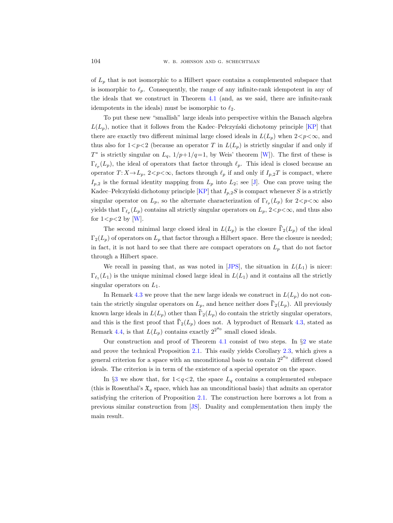of  $L_p$  that is not isomorphic to a Hilbert space contains a complemented subspace that is isomorphic to  $\ell_p$ . Consequently, the range of any infinite-rank idempotent in any of the ideals that we construct in Theorem [4.1](#page-8-2) (and, as we said, there are infinite-rank idempotents in the ideals) must be isomorphic to  $\ell_2$ .

To put these new "smallish" large ideals into perspective within the Banach algebra  $L(L_p)$ , notice that it follows from the Kadec–Pełczyński dichotomy principle [\[KP\]](#page-10-5) that there are exactly two different minimal large closed ideals in  $L(L_p)$  when  $2 < p < \infty$ , and thus also for  $1 < p < 2$  (because an operator T in  $L(L_p)$  is strictly singular if and only if  $T^*$  is strictly singular on  $L_q$ ,  $1/p+1/q=1$ , by Weis' theorem [\[W\]](#page-10-6)). The first of these is  $\Gamma_{\ell_p}(L_p)$ , the ideal of operators that factor through  $\ell_p$ . This ideal is closed because an operator  $T: X \to L_p$ ,  $2 < p < \infty$ , factors through  $\ell_p$  if and only if  $I_{p,2}T$  is compact, where  $I_{p,2}$  is the formal identity mapping from  $L_p$  into  $L_2$ ; see [\[J\]](#page-10-7). One can prove using the Kadec–Pełczyński dichotomy principle [\[KP\]](#page-10-5) that  $I_{p,2}S$  is compact whenever S is a strictly singular operator on  $L_p$ , so the alternate characterization of  $\Gamma_{\ell_p}(L_p)$  for  $2 < p < \infty$  also yields that  $\Gamma_{\ell_p}(L_p)$  contains all strictly singular operators on  $L_p$ ,  $2 < p < \infty$ , and thus also for  $1 < p < 2$  by [\[W\]](#page-10-6). 1), notice that it follows from the Radec-T etczynski dichotolny principle [KT] that<br>a gree exactly two different minimal large closed ideals in  $L(L_p)$  when  $2 < p < \infty$ , and<br>also for  $1 < p < 2$  (because an operator T in  $L(L_p$ 

 $\Gamma_2(L_p)$  of operators on  $L_p$  that factor through a Hilbert space. Here the closure is needed; in fact, it is not hard to see that there are compact operators on  $L_p$  that do not factor through a Hilbert space. the strictly singular operators on  $L_p$ , and the strictly singular operators on  $L_p$ ,  $2 < p < \infty$ , and thus also<br>for  $1 < p < 2$  by [W].<br>The second minimal large closed ideal in  $L(L_p)$  is the closure  $\overline{\Gamma}_2(L_p)$  of the ideal<br> for  $1 < p < 2$  by [W].<br>
The second minimal large closed ideal in  $L(L_p)$  is the closure  $\overline{\Gamma}_2(L_p)$  of the ideal<br>  $\Gamma_2(L_p)$  of operators on  $L_p$  that factor through a Hilbert space. Here the closure is needed;<br>
in fact, it

We recall in passing that, as was noted in [\[JPS\]](#page-10-8), the situation in  $L(L_1)$  is nicer:  $\Gamma_{\ell_1}(L_1)$  is the unique minimal closed large ideal in  $L(L_1)$  and it contains all the strictly singular operators on  $L_1$ .

In Remark [4.3](#page-8-3) we prove that the new large ideals we construct in  $L(L_n)$  do not con-The second minimal large closed ideal in  $L(L_p)$  is the closure  $\bar{\Gamma}_2(L_p)$  of the ideal  $\Gamma_2(L_p)$  of operators on  $L_p$  that factor through a Hilbert space. Here the closure is needed; in fact, it is not hard to see that t Remark [4.4,](#page-9-0) is that  $L(L_p)$  contains exactly  $2^{2^{\aleph_0}}$  small closed ideals.

Our construction and proof of Theorem [4.1](#page-8-2) consist of two steps. In  $\S2$  $\S2$  we state and prove the technical Proposition [2.1.](#page-2-1) This easily yields Corollary [2.3,](#page-4-0) which gives a general criterion for a space with an unconditional basis to contain  $2^{2^{\aleph_0}}$  different closed ideals. The criterion is in term of the existence of a special operator on the space.

In  $\S3$  $\S3$  we show that, for  $1 < q < 2$ , the space  $L_q$  contains a complemented subspace (this is Rosenthal's  $\mathfrak{X}_q$  space, which has an unconditional basis) that admits an operator satisfying the criterion of Proposition [2.1.](#page-2-1) The construction here borrows a lot from a previous similar construction from [\[JS\]](#page-10-9). Duality and complementation then imply the main result.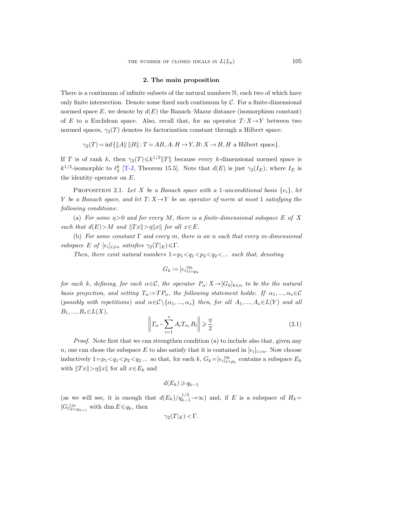### 2. The main proposition

<span id="page-2-4"></span><span id="page-2-0"></span>There is a continuum of infinite subsets of the natural numbers N, each two of which have only finite intersection. Denote some fixed such continuum by  $C$ . For a finite-dimensional normed space  $E$ , we denote by  $d(E)$  the Banach–Mazur distance (isomorphism constant) of E to a Euclidean space. Also, recall that, for an operator  $T: X \rightarrow Y$  between two normed spaces,  $\gamma_2(T)$  denotes its factorization constant through a Hilbert space:

$$
\gamma_2(T) = \inf \{ ||A|| \, ||B|| : T = AB, A : H \to Y, B : X \to H, H \text{ a Hilbert space} \}.
$$

If T is of rank k, then  $\gamma_2(T) \leq k^{1/2} ||T||$  because every k-dimensional normed space is  $k^{1/2}$ -isomorphic to  $\ell_2^k$  [\[T-J,](#page-10-10) Theorem 15.5]. Note that  $d(E)$  is just  $\gamma_2(I_E)$ , where  $I_E$  is the identity operator on E.

<span id="page-2-3"></span><span id="page-2-1"></span>PROPOSITION 2.1. Let X be a Banach space with a 1-unconditional basis  $\{e_i\}$ , let Y be a Banach space, and let  $T: X \to Y$  be an operator of norm at most 1 satisfying the following conditions:

(a) For some  $n>0$  and for every M, there is a finite-dimensional subspace E of X such that  $d(E) > M$  and  $||Tx|| > \eta ||x||$  for all  $x \in E$ .

(b) For some constant  $\Gamma$  and every m, there is an n such that every m-dimensional subspace E of  $[e_i]_{i \geq n}$  satisfies  $\gamma_2(T|_E) \leq \Gamma$ .

Then, there exist natural numbers  $1=p_1\langle q_1|q_2\langle q_2|q_3|q_4|$  denoting

$$
G_k:=[e_i]_{i=p_k}^{q_k}\,
$$

for each k, defining, for each  $\alpha \in \mathcal{C}$ , the operator  $P_{\alpha}: X \to [G_k]_{k \in \alpha}$  to be the the natural basis projection, and setting  $T_{\alpha} := TP_{\alpha}$ , the following statement holds: If  $\alpha_1, ..., \alpha_s \in \mathcal{C}$ (possibly with repetitions) and  $\alpha \in \mathcal{C} \setminus \{\alpha_1, ..., \alpha_s\}$  then, for all  $A_1, ..., A_s \in L(Y)$  and all  $B_1, ..., B_s \in L(X),$ 

<span id="page-2-2"></span>
$$
\left\|T_{\alpha} - \sum_{i=1}^{s} A_i T_{\alpha_i} B_i\right\| \geq \frac{\eta}{2}.\tag{2.1}
$$

Proof. Note first that we can strengthen condition (a) to include also that, given any n, one can chose the subspace E to also satisfy that it is contained in  $[e_i]_{i>n}$ . Now choose inductively  $1=p_1 < q_1 < p_2 < q_2 \dots$  so that, for each k,  $G_k = [e_i]_{i=p_k}^{q_k}$  contains a subspace  $E_k$ with  $||Tx|| > \eta ||x||$  for all  $x \in E_k$  and

$$
d(E_k) \geqslant q_{k-1}
$$

(as we will see, it is enough that  $d(E_k)/q_{k-1}^{1/2} \to \infty$ ) and, if E is a subspace of  $H_k=$  $[G_l]_{l=p_{k+1}}^{\infty}$  with dim  $E \leqslant q_k$ , then

$$
\gamma_2(T|_E) < \Gamma.
$$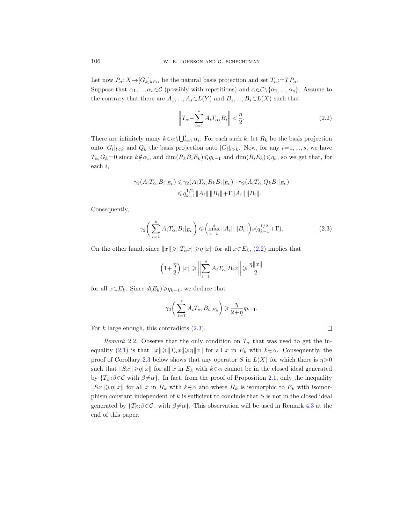Let now  $P_{\alpha}: X \to [G_k]_{k \in \alpha}$  be the natural basis projection and set  $T_{\alpha} := TP_{\alpha}$ . Suppose that  $\alpha_1, ..., \alpha_s \in \mathcal{C}$  (possibly with repetitions) and  $\alpha \in \mathcal{C} \setminus \{\alpha_1, ..., \alpha_s\}$ . Assume to the contrary that there are  $A_1, ..., A_s \in L(Y)$  and  $B_1, ..., B_s \in L(X)$  such that

<span id="page-3-0"></span>
$$
\left\|T_{\alpha} - \sum_{i=1}^{s} A_i T_{\alpha_i} B_i\right\| < \frac{\eta}{2}.\tag{2.2}
$$

There are infinitely many  $k \in \alpha \setminus \bigcup_{i=1}^s \alpha_i$ . For each such k, let  $R_k$  be the basis projection onto  $[G_l]_{l \leq k}$  and  $Q_k$  the basis projection onto  $[G_l]_{l \geq k}$ . Now, for any  $i=1,...,s$ , we have  $T_{\alpha_i}G_k=0$  since  $k \notin \alpha_i$ , and  $\dim(R_k B_i E_k) \leqslant q_{k-1}$  and  $\dim(B_i E_k) \leqslant q_k$ , so we get that, for each i,

$$
\gamma_2(A_i T_{\alpha_i} B_i|_{E_k}) \leq \gamma_2(A_i T_{\alpha_i} R_k B_i|_{E_k}) + \gamma_2(A_i T_{\alpha_i} Q_k B_i|_{E_k})
$$
  

$$
\leq q_{k-1}^{1/2} \|A_i\| \|B_i\| + \Gamma \|A_i\| \|B_i\|.
$$

Consequently,

<span id="page-3-1"></span>
$$
\gamma_2 \bigg(\sum_{i=1}^s A_i T_{\alpha_i} B_i|_{E_k}\bigg) \leqslant \bigg(\max_{i=1}^s \|A_i\| \|B_i\|\bigg) s(q_{k-1}^{1/2} + \Gamma). \tag{2.3}
$$

On the other hand, since  $||x|| \ge ||T_\alpha x|| \ge \eta ||x||$  for all  $x \in E_k$ , [\(2.2\)](#page-3-0) implies that

$$
\left(1+\frac{\eta}{2}\right)\|x\|\geqslant \left\|\sum_{i=1}^sA_iT_{\alpha_i}B_ix\right\|\geqslant \frac{\eta\|x\|}{2}
$$

for all  $x \in E_k$ . Since  $d(E_k) \geqslant q_{k-1}$ , we deduce that

$$
\gamma_2 \bigg(\sum_{i=1}^s A_i T_{\alpha_i} B_i|_{E_k}\bigg) \geqslant \frac{\eta}{2+\eta} q_{k-1}.
$$

For k large enough, this contradicts  $(2.3)$ .

<span id="page-3-2"></span>Remark 2.2. Observe that the only condition on  $T_{\alpha}$  that was used to get the in-equality [\(2.1\)](#page-2-2) is that  $||x|| \ge ||T_\alpha x|| \ge \eta ||x||$  for all x in  $E_k$  with  $k \in \alpha$ . Consequently, the proof of Corollary [2.3](#page-4-0) below shows that any operator S in  $L(X)$  for which there is  $\eta > 0$ such that  $||Sx|| \geq \eta ||x||$  for all x in  $E_k$  with  $k \in \alpha$  cannot be in the closed ideal generated by  $\{T_\beta:\beta\in\mathcal{C}$  with  $\beta\neq\alpha\}$ . In fact, from the proof of Proposition [2.1,](#page-2-1) only the inequality  $||Sx|| \geq \eta ||x||$  for all x in  $H_k$  with  $k \in \alpha$  and where  $H_k$  is isomorphic to  $E_k$  with isomorphism constant independent of  $k$  is sufficient to conclude that  $S$  is not in the closed ideal generated by  $\{T_\beta:\beta\in\mathcal{C}$ , with  $\beta\neq\alpha\}$ . This observation will be used in Remark [4.3](#page-8-3) at the end of this paper.

 $\Box$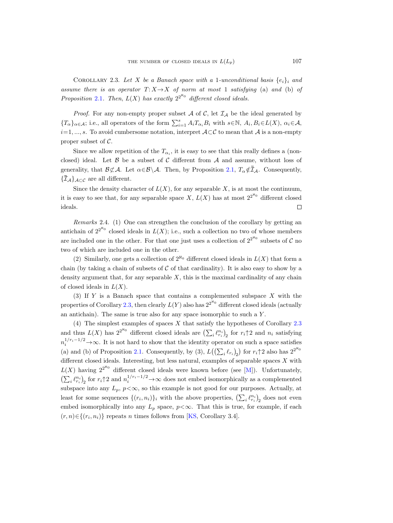<span id="page-4-1"></span>COROLLARY 2.3. Let X be a Banach space with a 1-unconditional basis  $\{e_i\}_i$  and assume there is an operator  $T: X \rightarrow X$  of norm at most 1 satisfying (a) and (b) of Proposition [2.1](#page-2-3). Then,  $L(X)$  has exactly  $2^{2^{\aleph_0}}$  different closed ideals.

*Proof.* For any non-empty proper subset A of C, let  $I_A$  be the ideal generated by  ${T_\alpha}_{\alpha\in\mathcal{A}}$ ; i.e., all operators of the form  $\sum_{i=1}^s A_i T_{\alpha_i} B_i$  with  $s \in \mathbb{N}$ ,  $A_i, B_i \in L(X)$ ,  $\alpha_i \in \mathcal{A}$ ,  $i=1, ..., s$ . To avoid cumbersome notation, interpret  $\mathcal{A} \subset \mathcal{C}$  to mean that  $\mathcal{A}$  is a non-empty proper subset of  $\mathcal{C}$ . COROLLARY 2.3. Let *X* be a Banach space with a 1-unconditional basis  $\{e_i\}_i$  and<br>assume there is an operator  $T: X \to X$  of norm at most 1 satisfying (a) and (b) of<br>Proposition 2.1. Then,  $L(X)$  has exactly  $2^{2^{\aleph_0}}$  di

<span id="page-4-0"></span>Since we allow repetition of the  $T_{\alpha_i}$ , it is easy to see that this really defines a (nonclosed) ideal. Let  $\beta$  be a subset of C different from A and assume, without loss of COROLLARY 2.3. Let<br>
assume there is an opera<br>
Proposition 2.1. Then, L(<br>
Proof. For any non-e<br>  $\{T_{\alpha}\}_{{\alpha}\in \mathcal{A}}$ ; i.e., all operato<br>  $i=1,...,s$ . To avoid cumbe<br>
proper subset of C.<br>
Since we allow repeti<br>
closed) ideal.

Since the density character of  $L(X)$ , for any separable X, is at most the continuum, it is easy to see that, for any separable space X,  $L(X)$  has at most  $2^{2^{\aleph_0}}$  different closed ideals. П

Remarks 2.4. (1) One can strengthen the conclusion of the corollary by getting an antichain of  $2^{2^{\aleph_0}}$  closed ideals in  $L(X)$ ; i.e., such a collection no two of whose members are included one in the other. For that one just uses a collection of  $2^{2^{\aleph_0}}$  subsets of C no two of which are included one in the other.

(2) Similarly, one gets a collection of  $2^{\aleph_0}$  different closed ideals in  $L(X)$  that form a chain (by taking a chain of subsets of  $C$  of that cardinality). It is also easy to show by a density argument that, for any separable  $X$ , this is the maximal cardinality of any chain of closed ideals in  $L(X)$ .

(3) If  $Y$  is a Banach space that contains a complemented subspace  $X$  with the properties of Corollary [2.3,](#page-4-1) then clearly  $L(Y)$  also has  $2^{2^{N_0}}$  different closed ideals (actually an antichain). The same is true also for any space isomorphic to such a Y .

(4) The simplest examples of spaces  $X$  that satisfy the hypotheses of Corollary [2.3](#page-4-1) and thus  $L(X)$  has  $2^{2^{\aleph_0}}$  different closed ideals are  $\left(\sum_i \ell_{r_i}^{n_i}\right)_2$  for  $r_i\uparrow 2$  and  $n_i$  satisfying  $n_i^{1/r_i-1/2}$  →  $\infty$ . It is not hard to show that the identity operator on such a space satisfies (a) and (b) of Proposition [2.1.](#page-2-3) Consequently, by (3),  $L((\sum_i \ell_{r_i})_2)$  for  $r_i \uparrow 2$  also has  $2^{2^{\aleph_0}}$ different closed ideals. Interesting, but less natural, examples of separable spaces  $X$  with  $L(X)$  having  $2^{2^{\aleph_0}}$  different closed ideals were known before (see [\[M\]](#page-10-11)). Unfortunately,  $\left(\sum_i \ell_{r_i}^{n_i}\right)_2$  for  $r_i \uparrow 2$  and  $n_i^{1/r_i-1/2} \to \infty$  does not embed isomorphically as a complemented subspace into any  $L_p$ ,  $p<\infty$ , so this example is not good for our purposes. Actually, at least for some sequences  $\{(r_i, n_i)\}_i$  with the above properties,  $\left(\sum_i \ell_{r_i}^{n_i}\right)_2$  does not even embed isomorphically into any  $L_p$  space,  $p<\infty$ . That this is true, for example, if each  $(r, n) \in \{(r_i, n_i)\}\)$  repeats n times follows from [\[KS,](#page-10-12) Corollary 3.4].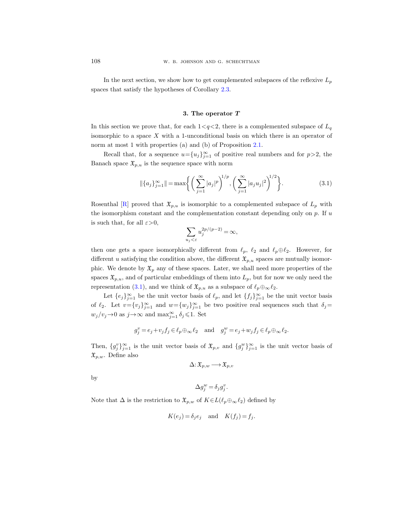In the next section, we show how to get complemented subspaces of the reflexive  $L_p$ spaces that satisfy the hypotheses of Corollary [2.3.](#page-4-0)

#### 3. The operator T

<span id="page-5-0"></span>In this section we prove that, for each  $1 < q < 2$ , there is a complemented subspace of  $L_q$ isomorphic to a space X with a 1-unconditional basis on which there is an operator of norm at most 1 with properties (a) and (b) of Proposition [2.1.](#page-2-1)

Recall that, for a sequence  $u = \{u_j\}_{j=1}^{\infty}$  of positive real numbers and for  $p > 2$ , the Banach space  $\mathfrak{X}_{p,u}$  is the sequence space with norm

<span id="page-5-1"></span>
$$
\|\{a_j\}_{j=1}^{\infty}\| = \max\bigg\{\bigg(\sum_{j=1}^{\infty} |a_j|^p\bigg)^{1/p}, \bigg(\sum_{j=1}^{\infty} |a_j u_j|^2\bigg)^{1/2}\bigg\}.
$$
 (3.1)

Rosenthal [\[R\]](#page-10-13) proved that  $\mathfrak{X}_{p,u}$  is isomorphic to a complemented subspace of  $L_p$  with the isomorphism constant and the complementation constant depending only on  $p$ . If  $u$ is such that, for all  $\varepsilon > 0$ ,

$$
\sum_{u_j<\varepsilon}u_j^{2p/(p-2)}=\infty,
$$

then one gets a space isomorphically different from  $\ell_p$ ,  $\ell_2$  and  $\ell_p \oplus \ell_2$ . However, for different u satisfying the condition above, the different  $\mathfrak{X}_{p,u}$  spaces are mutually isomorphic. We denote by  $\mathfrak{X}_p$  any of these spaces. Later, we shall need more properties of the spaces  $\mathfrak{X}_{p,u}$ , and of particular embeddings of them into  $L_p$ , but for now we only need the representation [\(3.1\)](#page-5-1), and we think of  $\mathfrak{X}_{p,u}$  as a subspace of  $\ell_p \oplus_{\infty} \ell_2$ .

Let  $\{e_j\}_{j=1}^{\infty}$  be the unit vector basis of  $\ell_p$ , and let  $\{f_j\}_{j=1}^{\infty}$  be the unit vector basis of  $\ell_2$ . Let  $v = \{v_j\}_{j=1}^{\infty}$  and  $w = \{w_j\}_{j=1}^{\infty}$  be two positive real sequences such that  $\delta_j =$  $w_j/v_j \rightarrow 0$  as  $j \rightarrow \infty$  and  $\max_{j=1}^{\infty} \delta_j \leq 1$ . Set

$$
g_j^v = e_j + v_j f_j \in \ell_p \oplus_{\infty} \ell_2
$$
 and  $g_j^w = e_j + w_j f_j \in \ell_p \oplus_{\infty} \ell_2$ .

Then,  $\{g_j^v\}_{j=1}^\infty$  is the unit vector basis of  $\mathfrak{X}_{p,v}$  and  $\{g_j^w\}_{j=1}^\infty$  is the unit vector basis of  $\mathfrak{X}_{p,w}$ . Define also

$$
\Delta\!:\! \mathfrak{X}_{p,w} \!\longrightarrow\! \mathfrak{X}_{p,v}
$$

by

$$
\Delta g_j^w = \delta_j g_j^v.
$$

Note that  $\Delta$  is the restriction to  $\mathfrak{X}_{p,w}$  of  $K \in L(\ell_p \oplus_{\infty} \ell_2)$  defined by

$$
K(e_j) = \delta_j e_j \quad \text{and} \quad K(f_j) = f_j.
$$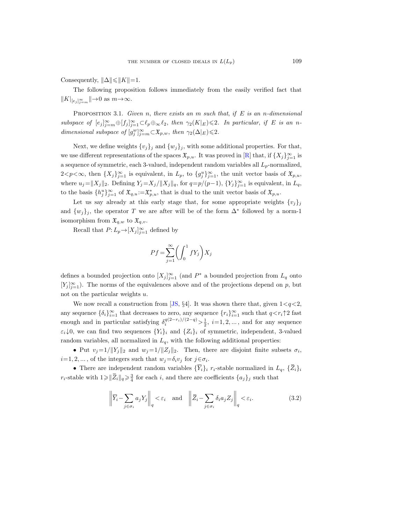Consequently,  $\|\Delta\|\leqslant \|K\|=1.$ 

The following proposition follows immediately from the easily verified fact that  $||K|_{[e_j]_{j=m}^{\infty}}||\rightarrow 0 \text{ as } m\rightarrow\infty.$ 

<span id="page-6-0"></span>**PROPOSITION 3.1.** Given n, there exists an m such that, if E is an n-dimensional subspace of  $[e_j]_{j=m}^{\infty} \oplus [f_j]_{j=1}^{\infty} \subset \ell_p \oplus_{\infty} \ell_2$ , then  $\gamma_2(K|_E) \leq 2$ . In particular, if E is an ndimensional subspace of  $[g_j^w]_{j=m}^{\infty} \subset \mathfrak{X}_{p,w}$ , then  $\gamma_2(\Delta|_E) \leq 2$ .

Next, we define weights  $\{v_j\}_j$  and  $\{w_j\}_j$ , with some additional properties. For that, we use different representations of the spaces  $\mathfrak{X}_{p,u}$ . It was proved in [\[R\]](#page-10-14) that, if  $\{X_j\}_{j=1}^{\infty}$  is a sequence of symmetric, each 3-valued, independent random variables all  $L_p$ -normalized,  $2 < p < \infty$ , then  $\{X_j\}_{j=1}^{\infty}$  is equivalent, in  $L_p$ , to  $\{g_j^u\}_{j=1}^{\infty}$ , the unit vector basis of  $\mathfrak{X}_{p,u}$ , where  $u_j = ||X_j||_2$ . Defining  $Y_j = X_j/||X_j||_q$ , for  $q = p/(p-1)$ ,  $\{Y_j\}_{j=1}^{\infty}$  is equivalent, in  $L_q$ , to the basis  $\{h_j^u\}_{j=1}^\infty$  of  $\mathfrak{X}_{q,u}:=\mathfrak{X}_{p,u}^*$ , that is dual to the unit vector basis of  $\mathfrak{X}_{p,u}$ .

Let us say already at this early stage that, for some appropriate weights  $\{v_j\}_j$ and  $\{w_j\}_j$ , the operator T we are after will be of the form  $\Delta^*$  followed by a norm-1 isomorphism from  $\mathfrak{X}_{q,w}$  to  $\mathfrak{X}_{q,v}$ .

Recall that  $P: L_p \rightarrow [X_j]_{j=1}^{\infty}$  defined by

$$
Pf = \sum_{j=1}^{\infty} \left( \int_0^1 fY_j \right) X_j
$$

defines a bounded projection onto  $[X_j]_{j=1}^{\infty}$  (and  $P^*$  a bounded projection from  $L_q$  onto  $[Y_j]_{j=1}^{\infty}$ ). The norms of the equivalences above and of the projections depend on p, but not on the particular weights u.

We now recall a construction from [\[JS,](#page-10-15)  $\S 4$ ]. It was shown there that, given  $1 < q < 2$ , any sequence  $\{\delta_i\}_{i=1}^{\infty}$  that decreases to zero, any sequence  $\{r_i\}_{i=1}^{\infty}$  such that  $q \lt r_i \uparrow 2$  fast enough and in particular satisfying  $\delta_i^{q(2-r_i)/(2-q)} > \frac{1}{2}$ ,  $i=1,2,...$ , and for any sequence  $\varepsilon_i\downarrow 0$ , we can find two sequences  $\{Y_i\}_i$  and  $\{Z_i\}_i$  of symmetric, independent, 3-valued random variables, all normalized in  $L_q$ , with the following additional properties: is a bounded projection onto  $[X_j]_{j=1}^{\infty}$  (and  $P^*$ <br>  $\stackrel{\circ}{=}$ <sub>1</sub>). The norms of the equivalences above and<br>
on the particular weights u.<br>
We now recall a construction from [JS, §4]. It is<br>
sequence  $\{\delta_i\}_{i=1}^{\infty}$  <sup>i</sup> a bounded projection from  $L_q$  onto<br>
of the projections depend on  $p$ , but<br>
was shown there that, given  $1 < q < 2$ ,<br>
quence  $\{r_i\}_{i=1}^{\infty}$  such that  $q < r_i \uparrow 2$  fast<br>  $>\frac{1}{2}$ ,  $i=1,2,...$ , and for any sequence<br>
of sym defines a bounded projec  $[Y_j]_{j=1}^{\infty}$ ). The norms of the not on the particular wei<br>we now recall a consany sequence  $\{\delta_i\}_{i=1}^{\infty}$  thand enough and in particular  $\varepsilon_i\downarrow 0$ , we can find two se random variables, all a  $\frac{1}{2}$  it is two all  $|Y|$  it of  $\overline{Z}_i$   $\overline{Y}_i$ It v<br>
seq<br>  $q$ ) >  $\}$ , o<br>  $\}$ , o<br>
e foll<br>
en,  $j \in G$ <br>
are<br>  $\overline{Z}_i$  –

• Put  $v_j = 1/\|Y_j\|_2$  and  $w_j = 1/\|Z_j\|_2$ . Then, there are disjoint finite subsets  $\sigma_i$ ,  $i=1, 2, \ldots$ , of the integers such that  $w_j = \delta_i v_j$  for  $j \in \sigma_i$ .

 $\frac{3}{4}$  for each *i*, and there are coefficients  $\{a_j\}_j$  such that

$$
\left\| \overline{Y}_i - \sum_{j \in \sigma_i} a_j Y_j \right\|_q < \varepsilon_i \quad \text{and} \quad \left\| \overline{Z}_i - \sum_{j \in \sigma_i} \delta_i a_j Z_j \right\|_q < \varepsilon_i. \tag{3.2}
$$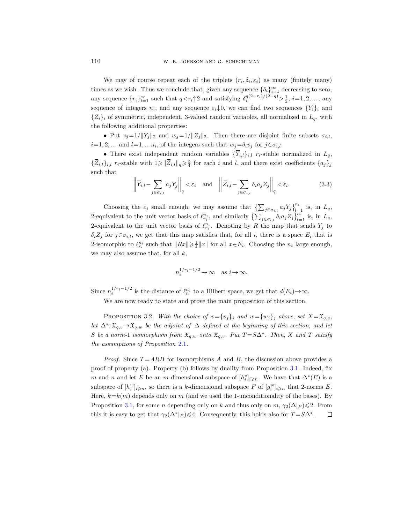We may of course repeat each of the triplets  $(r_i, \delta_i, \varepsilon_i)$  as many (finitely many) times as we wish. Thus we conclude that, given any sequence  $\{\delta_i\}_{i=1}^{\infty}$  decreasing to zero, any sequence  $\{r_i\}_{i=1}^{\infty}$  such that  $q < r_i\uparrow 2$  and satisfying  $\delta_i^{q(2-r_i)/(2-q)} > \frac{1}{2}$ ,  $i=1,2,...$ , any sequence of integers  $n_i$ , and any sequence  $\varepsilon_i \downarrow 0$ , we can find two sequences  $\{Y_i\}_i$  and  ${Z_i}_i$  of symmetric, independent, 3-valued random variables, all normalized in  $L_q$ , with the following additional properties: W. B. JOHNSON AND G. SCHEC<br>We may of course repeat each of the triplets (*r*<br>s as we wish. Thus we conclude that, given any search<br>sequence  $\{r_i\}_{i=1}^{\infty}$  such that  $q < r_i \uparrow 2$  and satisfying<br>ence of integers  $n_i$ , and We may of course repeat eac<br>times as we wish. Thus we conclud<br>any sequence  $\{r_i\}_{i=1}^{\infty}$  such that  $q <$ <br>sequence of integers  $n_i$ , and any s<br> $\{Z_i\}_i$  of symmetric, independent,  $\{$  the following additional propertie  $\begin{array}{c} \cdot \end{array}$   $\begin{array}{c} \cdot \end{array}$  yie rid it  $/|\phantom{a}|$  = 1 st  $\overline{Y}_i$ any s<br>isfyin<br>isfyin<br>is isfyin<br>we compute that  $w_j$ <br>and  $l$ <br> $\overline{Z}_{i,l}$  –

• Put  $v_j=1/||Y_j||_2$  and  $w_j=1/||Z_j||_2$ . Then there are disjoint finite subsets  $\sigma_{i,l}$ ,  $i=1, 2, ...$  and  $l=1, ... n_i$ , of the integers such that  $w_j = \delta_i v_j$  for  $j \in \sigma_{i,l}$ .

• There exist independent random variables  $\{\overline{Y}_{i,l}\}_{i,l}$  r<sub>i</sub>-stable normalized in  $L_q$ ,  $\frac{3}{4}$  for each *i* and *l*, and there exist coefficients  $\{a_j\}_j$ such that

$$
\left\| \overline{Y}_{i,l} - \sum_{j \in \sigma_{i,l}} a_j Y_j \right\|_q < \varepsilon_i \quad \text{and} \quad \left\| \overline{Z}_{i,l} - \sum_{j \in \sigma_{i,l}} \delta_i a_j Z_j \right\|_q < \varepsilon_i. \tag{3.3}
$$

Choosing the  $\varepsilon_i$  small enough, we may assume that  $\left\{\sum_{j\in\sigma_{i,l}}a_jY_j\right\}_{l=1}^{n_i}$  is, in  $L_q$ , 2-equivalent to the unit vector basis of  $\ell_{r_i}^{n_i}$ , and similarly  $\{\sum_{j \in \sigma_{i,l}} \delta_i a_j Z_j\}_{l=1}^{n_i}$  is, in  $L_q$ , 2-equivalent to the unit vector basis of  $\ell_{r_i}^{n_i}$ . Denoting by R the map that sends  $Y_j$  to  $\delta_i Z_i$  for  $j \in \sigma_{i,l}$ , we get that this map satisfies that, for all i, there is a space  $E_i$  that is 2-isomorphic to  $\ell_{r_i}^{n_i}$  such that  $||Rx|| \geq \frac{1}{4} ||x||$  for all  $x \in E_i$ . Choosing the  $n_i$  large enough, we may also assume that, for all  $k$ ,

$$
n_i^{1/r_i - 1/2} \to \infty \quad \text{as } i \to \infty.
$$

Since  $n_i^{1/r_i-1/2}$  is the distance of  $\ell_{r_i}^{n_i}$  to a Hilbert space, we get that  $d(E_i) \to \infty$ .

<span id="page-7-0"></span>We are now ready to state and prove the main proposition of this section.

PROPOSITION 3.2. With the choice of  $v=\{v_j\}_j$  and  $w=\{w_j\}_j$  above, set  $X=\mathfrak{X}_{q,v}$ , let  $\Delta^*$ :  $\mathfrak{X}_{q,v}$   $\to$   $\mathfrak{X}_{q,w}$  be the adjoint of  $\Delta$  defined at the beginning of this section, and let S be a norm-1 isomorphism from  $\mathfrak{X}_{q,w}$  onto  $\mathfrak{X}_{q,v}$ . Put  $T = S\Delta^*$ . Then, X and T satisfy the assumptions of Proposition [2.1](#page-2-1).

*Proof.* Since  $T = ARB$  for isomorphisms A and B, the discussion above provides a proof of property (a). Property (b) follows by duality from Proposition [3.1.](#page-6-0) Indeed, fix m and n and let E be an m-dimensional subspace of  $[h_i^v]_{i\geqslant n}$ . We have that  $\Delta^*(E)$  is a subspace of  $[h_i^w]_{i \geq n}$ , so there is a k-dimensional subspace F of  $[g_i^w]_{i \geq n}$  that 2-norms E. Here,  $k=k(m)$  depends only on m (and we used the 1-unconditionality of the bases). By Proposition [3.1,](#page-6-0) for some *n* depending only on k and thus only on  $m$ ,  $\gamma_2(\Delta|_F) \leq 2$ . From this it is easy to get that  $\gamma_2(\Delta^*|_E) \leq 4$ . Consequently, this holds also for  $T = S\Delta^*$ .  $\Box$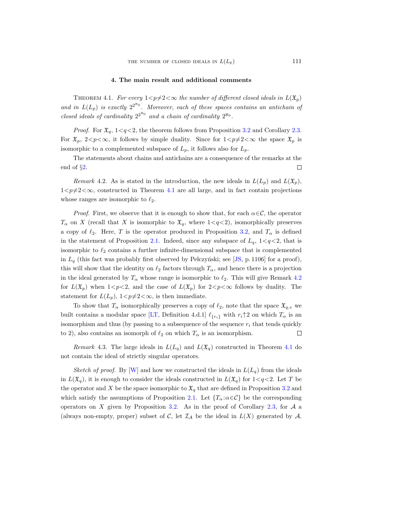## 4. The main result and additional comments

<span id="page-8-2"></span><span id="page-8-0"></span>THEOREM 4.1. For every  $1 < p \neq 2 < \infty$  the number of different closed ideals in  $L(\mathfrak{X}_p)$ and in  $L(L_p)$  is exactly  $2^{2^{\aleph_0}}$ . Moreover, each of these spaces contains an antichain of closed ideals of cardinality  $2^{2^{\aleph_0}}$  and a chain of cardinality  $2^{\aleph_0}$ .

*Proof.* For  $\mathfrak{X}_q$ ,  $1 \lt q \lt 2$ , the theorem follows from Proposition [3.2](#page-7-0) and Corollary [2.3.](#page-4-1) For  $\mathfrak{X}_p$ ,  $2 < p < \infty$ , it follows by simple duality. Since for  $1 < p \neq 2 < \infty$  the space  $\mathfrak{X}_p$  is isomorphic to a complemented subspace of  $L_p$ , it follows also for  $L_p$ .

The statements about chains and antichains are a consequence of the remarks at the end of §[2.](#page-2-4) □

<span id="page-8-1"></span>Remark 4.2. As is stated in the introduction, the new ideals in  $L(L_p)$  and  $L(\mathfrak{X}_p)$ ,  $1 < p \neq 2 < \infty$ , constructed in Theorem [4.1](#page-8-0) are all large, and in fact contain projections whose ranges are isomorphic to  $\ell_2$ .

*Proof.* First, we observe that it is enough to show that, for each  $\alpha \in \mathcal{C}$ , the operator  $T_{\alpha}$  on X (recall that X is isomorphic to  $\mathfrak{X}_q$ , where  $1 \leq q \leq 2$ ), isomorphically preserves a copy of  $\ell_2$ . Here, T is the operator produced in Proposition [3.2,](#page-7-0) and  $T_\alpha$  is defined in the statement of Proposition [2.1.](#page-2-3) Indeed, since any subspace of  $L_q$ , 1 $\lt q \lt 2$ , that is isomorphic to  $\ell_2$  contains a further infinite-dimensional subspace that is complemented in  $L_q$  (this fact was probably first observed by Pełczyński; see [\[JS,](#page-10-15) p. 1106] for a proof), this will show that the identity on  $\ell_2$  factors through  $T_\alpha$ , and hence there is a projection in the ideal generated by  $T_{\alpha}$  whose range is isomorphic to  $\ell_2$ . This will give Remark [4.2](#page-8-1) for  $L(\mathfrak{X}_p)$  when  $1 < p < 2$ , and the case of  $L(\mathfrak{X}_p)$  for  $2 < p < \infty$  follows by duality. The statement for  $L(L_p)$ ,  $1 < p \neq 2 < \infty$ , is then immediate.

To show that  $T_{\alpha}$  isomorphically preserves a copy of  $\ell_2$ , note that the space  $\mathfrak{X}_{q,v}$  we built contains a modular space [\[LT,](#page-10-16) Definition 4.d.1]  $\ell_{\{r_i\}}$  with  $r_i \uparrow 2$  on which  $T_\alpha$  is an isomorphism and thus (by passing to a subsequence of the sequence  $r_i$  that tends quickly to 2), also contains an isomorph of  $\ell_2$  on which  $T_\alpha$  is an isomorphism. □

<span id="page-8-3"></span>Remark 4.3. The large ideals in  $L(L_q)$  and  $L(\mathfrak{X}_q)$  constructed in Theorem [4.1](#page-8-0) do not contain the ideal of strictly singular operators.

Sketch of proof. By W and how we constructed the ideals in  $L(L_q)$  from the ideals in  $L(\mathfrak{X}_q)$ , it is enough to consider the ideals constructed in  $L(\mathfrak{X}_q)$  for  $1 < q < 2$ . Let T be the operator and X be the space isomorphic to  $\mathfrak{X}_q$  that are defined in Proposition [3.2](#page-7-0) and which satisfy the assumptions of Proposition [2.1.](#page-2-3) Let  ${T_\alpha : \alpha \in \mathcal{C}}$  be the corresponding operators on X given by Proposition [3.2.](#page-7-0) As in the proof of Corollary [2.3,](#page-4-1) for  $\mathcal A$  a (always non-empty, proper) subset of C, let  $\mathcal{I}_{\mathcal{A}}$  be the ideal in  $L(X)$  generated by  $\mathcal{A}$ .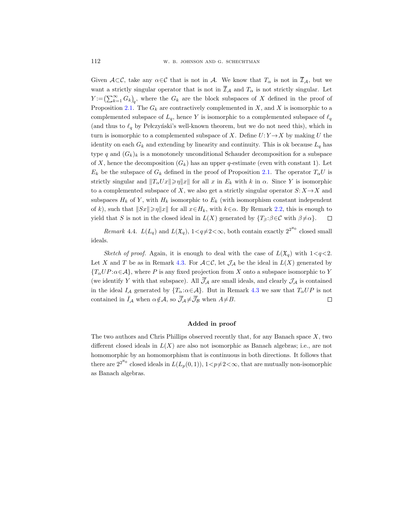Given  $\mathcal{A}\subset\mathcal{C}$ , take any  $\alpha\in\mathcal{C}$  that is not in  $\mathcal{A}$ . We know that  $T_{\alpha}$  is not in  $\overline{\mathcal{I}}_{\mathcal{A}}$ , but we want a strictly singular operator that is not in  $\overline{\mathcal{I}}_{\mathcal{A}}$  and  $T_{\alpha}$  is not strictly singular. Let  $Y := (\sum_{k=1}^{\infty} G_k)_q$ , where the  $G_k$  are the block subspaces of X defined in the proof of Proposition [2.1.](#page-2-1) The  $G_k$  are contractively complemented in X, and X is isomorphic to a complemented subspace of  $L_q$ , hence Y is isomorphic to a complemented subspace of  $\ell_q$ (and thus to  $\ell_q$  by Pełczyński's well-known theorem, but we do not need this), which in turn is isomorphic to a complemented subspace of X. Define  $U: Y \rightarrow X$  by making U the identity on each  $G_k$  and extending by linearity and continuity. This is ok because  $L_q$  has type q and  $(G_k)_k$  is a monotonely unconditional Schauder decomposition for a subspace of X, hence the decomposition  $(G_k)$  has an upper q-estimate (even with constant 1). Let  $E_k$  be the subspace of  $G_k$  defined in the proof of Proposition [2.1.](#page-2-1) The operator  $T_\alpha U$  is strictly singular and  $||T_{\alpha}Ux|| \geq \eta ||x||$  for all x in  $E_k$  with k in  $\alpha$ . Since Y is isomorphic strictly singular and  $||T_{\alpha}Ux|| \ge \eta ||x||$  for all<br>to a complemented subspace of X, we also<br>subspaces  $H_k$  of Y, with  $H_k$  isomorphic to<br>of k), such that  $||Sx|| \ge \eta ||x||$  for all  $x \in H_k$ ,<br>yield that S is not in the closed idea to a complemented subspace of X, we also get a strictly singular operator  $S: X \rightarrow X$  and subspaces  $H_k$  of Y, with  $H_k$  isomorphic to  $E_k$  (with isomorphism constant independent of k), such that  $||Sx|| \ge \eta ||x||$  for all  $x \in H_k$ , with  $k \in \alpha$ . By Remark [2.2,](#page-3-2) this is enough to yield that S is not in the closed ideal in  $L(X)$  generated by  $\{T_\beta : \beta \in \mathcal{C} \text{ with } \beta \neq \alpha\}.$  $\Box$ 

<span id="page-9-0"></span>Remark 4.4.  $L(L_q)$  and  $L(\mathfrak{X}_q)$ ,  $1 \leq q \neq 2 \leq \infty$ , both contain exactly  $2^{2^{\aleph_0}}$  closed small ideals.

subspaces  $H_k$  of Y, with  $H_k$  isom<br>of k), such that  $||Sx|| \ge \eta ||x||$  for a<br>yield that S is not in the closed ic<br> $Remark\ 4.4.$   $L(L_q)$  and  $L(\mathfrak{X}_q)$ <br>ideals.<br>Sketch of proof. Again, it is<br>Let X and T be as in Remark 4.3<br> $\{T_\alpha UP$ aorphi $\operatorname{all} x ∈ \operatorname{deal}$ <br>deal in<br>q), 1<<br>enoug<br>3. For<br>ced pro<br>ced pro<br>;  $\alpha ∈ A$ <br>;  $\alpha ∈ A$ Sketch of proof. Again, it is enough to deal with the case of  $L(\mathfrak{X}_q)$  with  $1 \lt q \lt 2$ . Let X and T be as in Remark [4.3.](#page-8-3) For  $\mathcal{A}\subset\mathcal{C}$ , let  $\mathcal{J}_{\mathcal{A}}$  be the ideal in  $L(X)$  generated by  ${T_{\alpha}UP:\alpha \in \mathcal{A}}$ , where P is any fixed projection from X onto a subspace isomorphic to Y (we identify Y with that subspace). All  $\overline{\mathcal{J}}_A$  are small ideals, and clearly  $\mathcal{J}_A$  is contained in the ideal  $I_A$  generated by  $\{T_\alpha:\alpha\in\mathcal{A}\}\$ . But in Remark [4.3](#page-8-3) we saw that  $T_\alpha UP$  is not contained in  $\bar{I}_A$  when  $\alpha \notin \mathcal{A}$ , so  $\bar{\mathcal{J}}_A \neq \bar{\mathcal{J}}_B$  when  $A \neq B$ .  $\Box$ 

# Added in proof

The two authors and Chris Phillips observed recently that, for any Banach space  $X$ , two different closed ideals in  $L(X)$  are also not isomorphic as Banach algebras; i.e., are not homomorphic by an homomorphism that is continuous in both directions. It follows that there are  $2^{2^{\aleph_0}}$  closed ideals in  $L(L_p(0,1)), 1 < p \neq 2 < \infty$ , that are mutually non-isomorphic as Banach algebras.